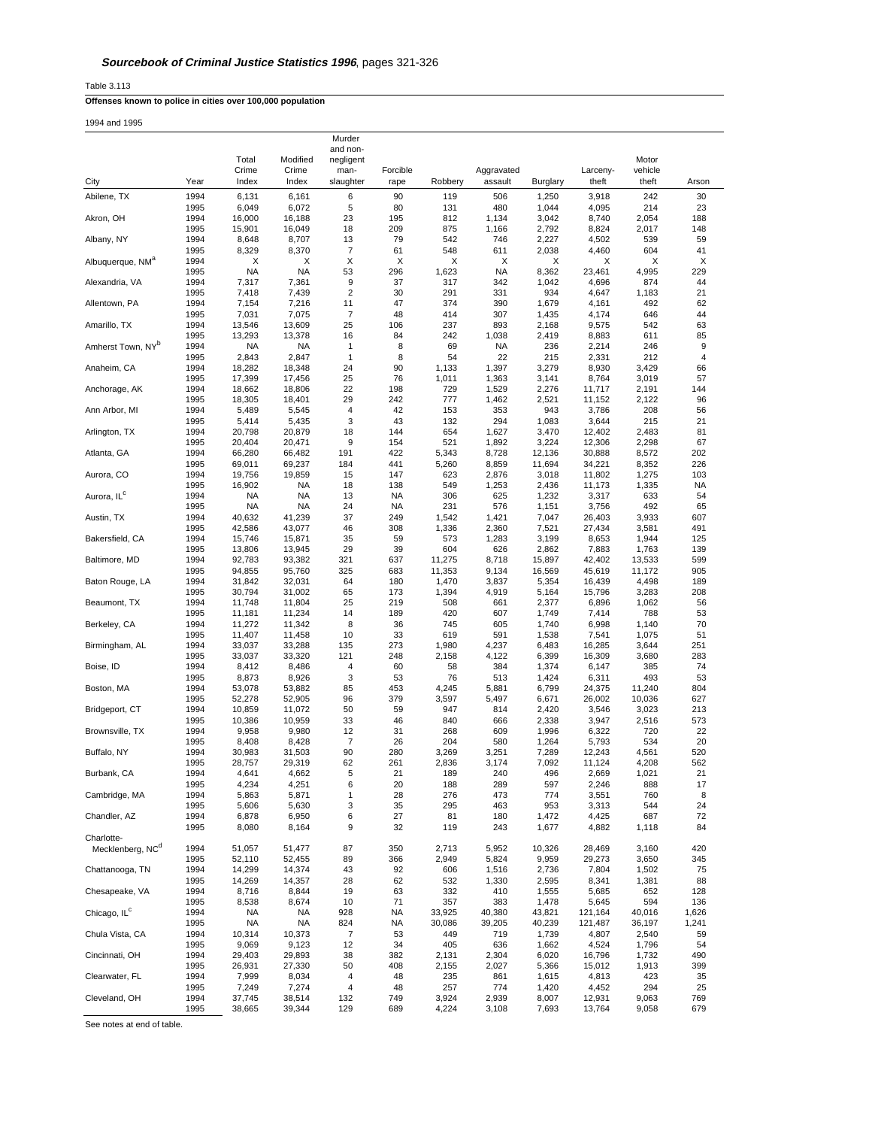Table 3.113

# **Offenses known to police in cities over 100,000 population**

| 1994 and 1995 |  |
|---------------|--|
|               |  |

|                               |              |                    |                    | Murder                |            |                |                  |                |                  |                  |                  |
|-------------------------------|--------------|--------------------|--------------------|-----------------------|------------|----------------|------------------|----------------|------------------|------------------|------------------|
|                               |              | Total              | Modified           | and non-<br>negligent |            |                |                  |                |                  | Motor            |                  |
|                               |              | Crime              | Crime              | man-                  | Forcible   |                | Aggravated       |                | Larceny-         | vehicle          |                  |
| City                          | Year         | Index              | Index              | slaughter             | rape       | Robbery        | assault          | Burglary       | theft            | theft            | Arson            |
| Abilene, TX                   | 1994         | 6,131              | 6,161              | 6                     | 90         | 119            | 506              | 1,250          | 3,918            | 242              | 30               |
|                               | 1995         | 6,049              | 6,072              | 5                     | 80         | 131            | 480              | 1,044          | 4,095            | 214              | 23               |
| Akron, OH                     | 1994<br>1995 | 16,000<br>15,901   | 16,188<br>16,049   | 23<br>18              | 195<br>209 | 812<br>875     | 1,134<br>1,166   | 3,042<br>2,792 | 8,740<br>8,824   | 2,054<br>2,017   | 188<br>148       |
| Albany, NY                    | 1994         | 8,648              | 8,707              | 13                    | 79         | 542            | 746              | 2,227          | 4,502            | 539              | 59               |
|                               | 1995         | 8,329              | 8,370              | 7                     | 61         | 548            | 611              | 2,038          | 4,460            | 604              | 41               |
| Albuquerque, NM <sup>a</sup>  | 1994         | х                  | X                  | Х                     | Χ          | X              | X                | х              | х                | X                | Х                |
| Alexandria, VA                | 1995<br>1994 | <b>NA</b><br>7,317 | <b>NA</b><br>7,361 | 53<br>9               | 296<br>37  | 1,623<br>317   | <b>NA</b><br>342 | 8,362<br>1,042 | 23,461<br>4,696  | 4,995<br>874     | 229<br>44        |
|                               | 1995         | 7,418              | 7,439              | $\overline{2}$        | 30         | 291            | 331              | 934            | 4,647            | 1,183            | 21               |
| Allentown, PA                 | 1994         | 7,154              | 7,216              | 11                    | 47         | 374            | 390              | 1,679          | 4,161            | 492              | 62               |
|                               | 1995         | 7,031              | 7,075              | 7                     | 48         | 414            | 307              | 1,435          | 4,174            | 646              | 44               |
| Amarillo, TX                  | 1994<br>1995 | 13,546<br>13,293   | 13,609<br>13,378   | 25<br>16              | 106<br>84  | 237<br>242     | 893<br>1,038     | 2,168<br>2,419 | 9,575<br>8,883   | 542<br>611       | 63<br>85         |
| Amherst Town, NY <sup>b</sup> | 1994         | <b>NA</b>          | <b>NA</b>          | 1                     | 8          | 69             | <b>NA</b>        | 236            | 2,214            | 246              | $\boldsymbol{9}$ |
|                               | 1995         | 2,843              | 2,847              | 1                     | 8          | 54             | 22               | 215            | 2,331            | 212              | 4                |
| Anaheim, CA                   | 1994         | 18,282             | 18,348             | 24                    | 90         | 1,133          | 1,397            | 3,279          | 8,930            | 3,429            | 66               |
| Anchorage, AK                 | 1995<br>1994 | 17,399<br>18,662   | 17,456<br>18,806   | 25<br>22              | 76<br>198  | 1,011<br>729   | 1,363<br>1,529   | 3,141<br>2,276 | 8,764<br>11,717  | 3,019<br>2,191   | 57<br>144        |
|                               | 1995         | 18,305             | 18,401             | 29                    | 242        | 777            | 1,462            | 2,521          | 11,152           | 2,122            | 96               |
| Ann Arbor, MI                 | 1994         | 5,489              | 5,545              | 4                     | 42         | 153            | 353              | 943            | 3,786            | 208              | 56               |
| Arlington, TX                 | 1995<br>1994 | 5,414<br>20,798    | 5,435<br>20,879    | 3<br>18               | 43<br>144  | 132<br>654     | 294<br>1,627     | 1,083<br>3,470 | 3,644<br>12,402  | 215<br>2,483     | 21<br>81         |
|                               | 1995         | 20,404             | 20,471             | 9                     | 154        | 521            | 1,892            | 3,224          | 12,306           | 2,298            | 67               |
| Atlanta, GA                   | 1994         | 66,280             | 66,482             | 191                   | 422        | 5,343          | 8,728            | 12,136         | 30,888           | 8,572            | 202              |
|                               | 1995         | 69,011             | 69,237             | 184                   | 441        | 5,260          | 8,859            | 11,694         | 34,221           | 8,352            | 226              |
| Aurora, CO                    | 1994<br>1995 | 19,756<br>16,902   | 19,859<br>NA       | 15<br>18              | 147<br>138 | 623<br>549     | 2,876<br>1,253   | 3,018<br>2,436 | 11,802<br>11,173 | 1,275<br>1,335   | 103<br>NA        |
| Aurora, IL <sup>c</sup>       | 1994         | NA                 | <b>NA</b>          | 13                    | <b>NA</b>  | 306            | 625              | 1,232          | 3,317            | 633              | 54               |
|                               | 1995         | NA                 | NA                 | 24                    | <b>NA</b>  | 231            | 576              | 1,151          | 3,756            | 492              | 65               |
| Austin, TX                    | 1994         | 40,632             | 41,239             | 37                    | 249        | 1,542          | 1,421            | 7,047          | 26,403           | 3,933            | 607              |
| Bakersfield, CA               | 1995<br>1994 | 42,586<br>15,746   | 43,077<br>15,871   | 46<br>35              | 308<br>59  | 1,336<br>573   | 2,360<br>1,283   | 7,521<br>3,199 | 27,434<br>8,653  | 3,581<br>1,944   | 491<br>125       |
|                               | 1995         | 13,806             | 13,945             | 29                    | 39         | 604            | 626              | 2,862          | 7,883            | 1,763            | 139              |
| Baltimore, MD                 | 1994         | 92,783             | 93,382             | 321                   | 637        | 11,275         | 8,718            | 15,897         | 42,402           | 13,533           | 599              |
|                               | 1995         | 94,855             | 95,760             | 325                   | 683        | 11,353         | 9,134            | 16,569         | 45,619           | 11,172           | 905              |
| Baton Rouge, LA               | 1994<br>1995 | 31,842<br>30,794   | 32,031<br>31,002   | 64<br>65              | 180<br>173 | 1,470<br>1,394 | 3,837<br>4,919   | 5,354<br>5,164 | 16,439<br>15,796 | 4,498<br>3,283   | 189<br>208       |
| Beaumont, TX                  | 1994         | 11,748             | 11,804             | 25                    | 219        | 508            | 661              | 2,377          | 6,896            | 1,062            | 56               |
|                               | 1995         | 11,181             | 11,234             | 14                    | 189        | 420            | 607              | 1,749          | 7,414            | 788              | 53               |
| Berkeley, CA                  | 1994         | 11,272             | 11,342             | 8                     | 36         | 745            | 605              | 1,740          | 6,998            | 1,140            | 70               |
| Birmingham, AL                | 1995<br>1994 | 11,407<br>33,037   | 11,458<br>33,288   | 10<br>135             | 33<br>273  | 619<br>1,980   | 591<br>4,237     | 1,538<br>6,483 | 7,541<br>16,285  | 1,075<br>3,644   | 51<br>251        |
|                               | 1995         | 33,037             | 33,320             | 121                   | 248        | 2,158          | 4,122            | 6,399          | 16,309           | 3,680            | 283              |
| Boise, ID                     | 1994         | 8,412              | 8,486              | 4                     | 60         | 58             | 384              | 1,374          | 6,147            | 385              | 74               |
| Boston, MA                    | 1995<br>1994 | 8,873              | 8,926              | 3                     | 53<br>453  | 76             | 513              | 1,424          | 6,311            | 493              | 53<br>804        |
|                               | 1995         | 53,078<br>52,278   | 53,882<br>52,905   | 85<br>96              | 379        | 4,245<br>3,597 | 5,881<br>5,497   | 6,799<br>6,671 | 24,375<br>26,002 | 11,240<br>10,036 | 627              |
| Bridgeport, CT                | 1994         | 10,859             | 11,072             | 50                    | 59         | 947            | 814              | 2,420          | 3,546            | 3,023            | 213              |
|                               | 1995         | 10,386             | 10,959             | 33                    | 46         | 840            | 666              | 2,338          | 3,947            | 2,516            | 573              |
| Brownsville, TX               | 1994<br>1995 | 9,958<br>8,408     | 9,980<br>8,428     | 12<br>7               | 31<br>26   | 268<br>204     | 609<br>580       | 1,996<br>1,264 | 6,322            | 720<br>534       | 22<br>20         |
| Buffalo, NY                   | 1994         | 30,983             | 31,503             | 90                    | 280        | 3,269          | 3,251            | 7,289          | 5,793<br>12,243  | 4,561            | 520              |
|                               | 1995         | 28,757             | 29,319             | 62                    | 261        | 2,836          | 3,174            | 7,092          | 11,124           | 4,208            | 562              |
| Burbank, CA                   | 1994         | 4,641              | 4,662              | 5                     | 21         | 189            | 240              | 496            | 2,669            | 1,021            | 21               |
| Cambridge, MA                 | 1995<br>1994 | 4,234<br>5,863     | 4,251<br>5,871     | 6<br>1                | 20<br>28   | 188<br>276     | 289<br>473       | 597<br>774     | 2,246<br>3,551   | 888<br>760       | 17<br>8          |
|                               | 1995         | 5,606              | 5,630              | 3                     | 35         | 295            | 463              | 953            | 3,313            | 544              | 24               |
| Chandler, AZ                  | 1994         | 6,878              | 6,950              | 6                     | 27         | 81             | 180              | 1,472          | 4,425            | 687              | 72               |
| Charlotte-                    | 1995         | 8,080              | 8,164              | 9                     | 32         | 119            | 243              | 1,677          | 4,882            | 1,118            | 84               |
| Mecklenberg, NC <sup>d</sup>  | 1994         | 51,057             | 51,477             | 87                    | 350        | 2,713          | 5,952            | 10,326         | 28,469           | 3,160            | 420              |
|                               | 1995         | 52,110             | 52,455             | 89                    | 366        | 2,949          | 5,824            | 9,959          | 29,273           | 3,650            | 345              |
| Chattanooga, TN               | 1994         | 14,299             | 14,374             | 43                    | 92         | 606            | 1,516            | 2,736          | 7,804            | 1,502            | 75               |
| Chesapeake, VA                | 1995         | 14,269             | 14,357             | 28                    | 62         | 532            | 1,330            | 2,595          | 8,341            | 1,381            | 88               |
|                               | 1994<br>1995 | 8,716<br>8,538     | 8,844<br>8,674     | 19<br>10              | 63<br>71   | 332<br>357     | 410<br>383       | 1,555<br>1,478 | 5,685<br>5,645   | 652<br>594       | 128<br>136       |
| Chicago, IL <sup>c</sup>      | 1994         | <b>NA</b>          | <b>NA</b>          | 928                   | NA         | 33,925         | 40,380           | 43,821         | 121,164          | 40,016           | 1,626            |
|                               | 1995         | <b>NA</b>          | <b>NA</b>          | 824                   | <b>NA</b>  | 30,086         | 39,205           | 40,239         | 121,487          | 36,197           | 1,241            |
| Chula Vista, CA               | 1994<br>1995 | 10,314<br>9,069    | 10,373<br>9,123    | 7<br>12               | 53<br>34   | 449<br>405     | 719<br>636       | 1,739<br>1,662 | 4,807<br>4,524   | 2,540<br>1,796   | 59<br>54         |
| Cincinnati, OH                | 1994         | 29,403             | 29,893             | 38                    | 382        | 2,131          | 2,304            | 6,020          | 16,796           | 1,732            | 490              |
|                               | 1995         | 26,931             | 27,330             | 50                    | 408        | 2,155          | 2,027            | 5,366          | 15,012           | 1,913            | 399              |
| Clearwater, FL                | 1994         | 7,999              | 8,034              | 4                     | 48         | 235            | 861              | 1,615          | 4,813            | 423              | 35               |
| Cleveland, OH                 | 1995<br>1994 | 7,249<br>37,745    | 7,274<br>38,514    | 4<br>132              | 48<br>749  | 257<br>3,924   | 774<br>2,939     | 1,420<br>8,007 | 4,452<br>12,931  | 294<br>9,063     | 25<br>769        |
|                               | 1995         | 38,665             | 39,344             | 129                   | 689        | 4,224          | 3,108            | 7,693          | 13,764           | 9,058            | 679              |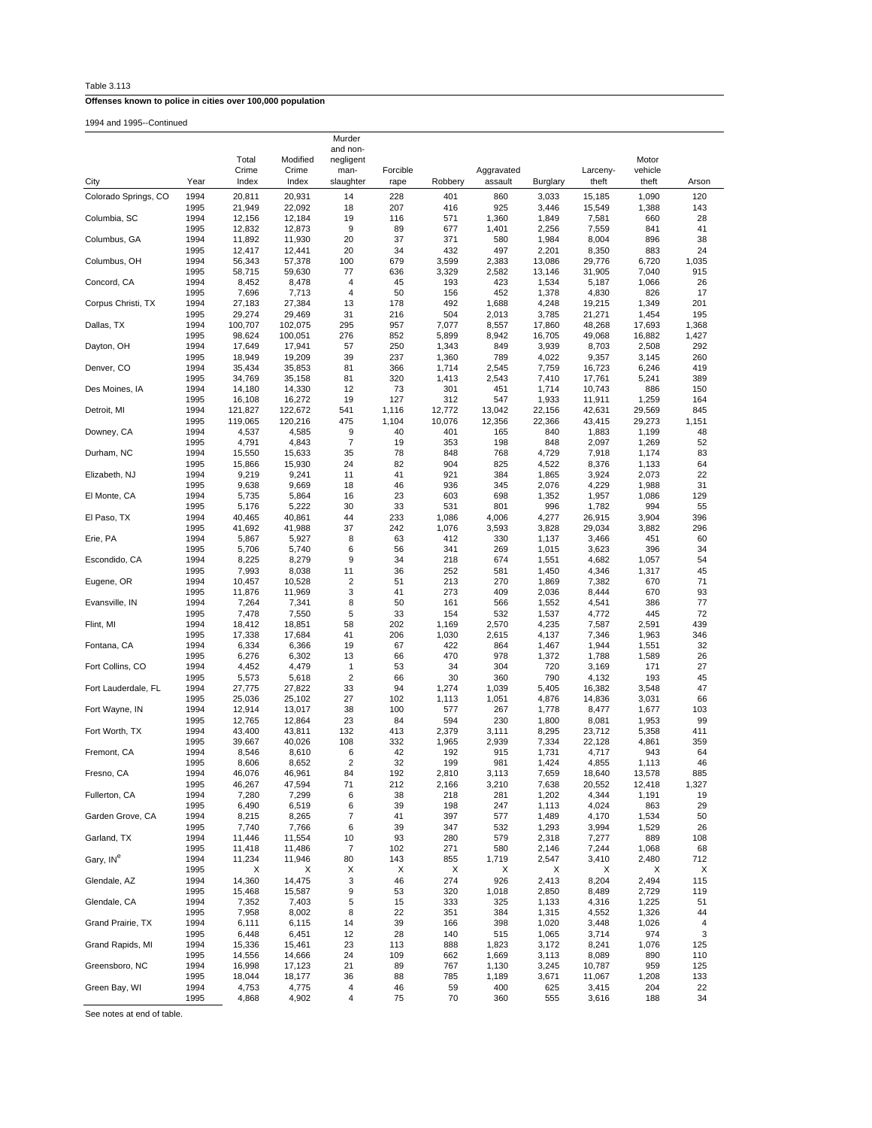| Table 3.113 |  |
|-------------|--|
|-------------|--|

1994 and 1995--Continued

|                       |              |                   |                    | Murder                |             |                |                |                  |                  |                  |                |
|-----------------------|--------------|-------------------|--------------------|-----------------------|-------------|----------------|----------------|------------------|------------------|------------------|----------------|
|                       |              | Total             | Modified           | and non-<br>negligent |             |                |                |                  |                  | Motor            |                |
|                       |              | Crime             | Crime              | man-                  | Forcible    |                | Aggravated     |                  | Larceny-         | vehicle          |                |
| City                  | Year         | Index             | Index              | slaughter             | rape        | Robbery        | assault        | Burglary         | theft            | theft            | Arson          |
| Colorado Springs, CO  | 1994         | 20,811            | 20,931             | 14                    | 228         | 401            | 860            | 3,033            | 15,185           | 1,090            | 120            |
|                       | 1995         | 21,949            | 22,092             | 18                    | 207         | 416            | 925            | 3,446            | 15,549           | 1,388            | 143            |
| Columbia, SC          | 1994         | 12,156            | 12,184             | 19                    | 116         | 571            | 1,360          | 1,849            | 7,581            | 660              | 28             |
| Columbus, GA          | 1995<br>1994 | 12,832<br>11,892  | 12,873<br>11,930   | 9<br>20               | 89<br>37    | 677<br>371     | 1,401<br>580   | 2,256<br>1,984   | 7,559<br>8,004   | 841<br>896       | 41<br>38       |
|                       | 1995         | 12,417            | 12,441             | 20                    | 34          | 432            | 497            | 2,201            | 8,350            | 883              | 24             |
| Columbus, OH          | 1994         | 56,343            | 57,378             | 100                   | 679         | 3,599          | 2,383          | 13,086           | 29,776           | 6,720            | 1,035          |
| Concord, CA           | 1995<br>1994 | 58,715            | 59,630             | 77<br>4               | 636<br>45   | 3,329<br>193   | 2,582<br>423   | 13,146           | 31,905           | 7,040<br>1,066   | 915<br>26      |
|                       | 1995         | 8,452<br>7,696    | 8,478<br>7,713     | 4                     | 50          | 156            | 452            | 1,534<br>1,378   | 5,187<br>4,830   | 826              | 17             |
| Corpus Christi, TX    | 1994         | 27,183            | 27,384             | 13                    | 178         | 492            | 1,688          | 4,248            | 19,215           | 1,349            | 201            |
|                       | 1995         | 29,274            | 29,469             | 31                    | 216         | 504            | 2,013          | 3,785            | 21,271           | 1,454            | 195            |
| Dallas, TX            | 1994<br>1995 | 100,707<br>98,624 | 102,075<br>100,051 | 295<br>276            | 957<br>852  | 7,077<br>5,899 | 8,557<br>8,942 | 17,860<br>16,705 | 48,268<br>49,068 | 17,693<br>16,882 | 1,368<br>1,427 |
| Dayton, OH            | 1994         | 17,649            | 17,941             | 57                    | 250         | 1,343          | 849            | 3,939            | 8,703            | 2,508            | 292            |
|                       | 1995         | 18,949            | 19,209             | 39                    | 237         | 1,360          | 789            | 4,022            | 9,357            | 3,145            | 260            |
| Denver, CO            | 1994<br>1995 | 35,434<br>34,769  | 35,853<br>35,158   | 81<br>81              | 366<br>320  | 1,714<br>1,413 | 2,545<br>2,543 | 7,759<br>7,410   | 16,723<br>17,761 | 6,246<br>5,241   | 419<br>389     |
| Des Moines, IA        | 1994         | 14,180            | 14,330             | 12                    | 73          | 301            | 451            | 1,714            | 10,743           | 886              | 150            |
|                       | 1995         | 16,108            | 16,272             | 19                    | 127         | 312            | 547            | 1,933            | 11,911           | 1,259            | 164            |
| Detroit, MI           | 1994         | 121,827           | 122,672            | 541                   | 1,116       | 12,772         | 13,042         | 22,156           | 42,631           | 29,569           | 845            |
| Downey, CA            | 1995<br>1994 | 119,065<br>4,537  | 120,216<br>4,585   | 475<br>9              | 1,104<br>40 | 10,076<br>401  | 12,356<br>165  | 22,366<br>840    | 43,415<br>1,883  | 29,273<br>1,199  | 1,151<br>48    |
|                       | 1995         | 4,791             | 4,843              | 7                     | 19          | 353            | 198            | 848              | 2,097            | 1,269            | 52             |
| Durham, NC            | 1994         | 15,550            | 15,633             | 35                    | 78          | 848            | 768            | 4,729            | 7,918            | 1,174            | 83             |
| Elizabeth, NJ         | 1995<br>1994 | 15,866<br>9,219   | 15,930<br>9,241    | 24<br>11              | 82<br>41    | 904<br>921     | 825<br>384     | 4,522<br>1,865   | 8,376<br>3,924   | 1,133<br>2,073   | 64<br>22       |
|                       | 1995         | 9,638             | 9,669              | 18                    | 46          | 936            | 345            | 2,076            | 4,229            | 1,988            | 31             |
| El Monte, CA          | 1994         | 5,735             | 5,864              | 16                    | 23          | 603            | 698            | 1,352            | 1,957            | 1,086            | 129            |
|                       | 1995         | 5,176             | 5,222              | 30                    | 33          | 531            | 801            | 996              | 1,782            | 994              | 55             |
| El Paso, TX           | 1994<br>1995 | 40,465<br>41,692  | 40,861<br>41,988   | 44<br>37              | 233<br>242  | 1,086<br>1,076 | 4,006<br>3,593 | 4,277<br>3,828   | 26,915<br>29,034 | 3,904<br>3,882   | 396<br>296     |
| Erie, PA              | 1994         | 5,867             | 5,927              | 8                     | 63          | 412            | 330            | 1,137            | 3,466            | 451              | 60             |
|                       | 1995         | 5,706             | 5,740              | 6                     | 56          | 341            | 269            | 1,015            | 3,623            | 396              | 34             |
| Escondido, CA         | 1994<br>1995 | 8,225<br>7,993    | 8,279<br>8,038     | 9<br>11               | 34<br>36    | 218<br>252     | 674<br>581     | 1,551<br>1,450   | 4,682<br>4,346   | 1,057<br>1,317   | 54<br>45       |
| Eugene, OR            | 1994         | 10,457            | 10,528             | 2                     | 51          | 213            | 270            | 1,869            | 7,382            | 670              | 71             |
|                       | 1995         | 11,876            | 11,969             | 3                     | 41          | 273            | 409            | 2,036            | 8,444            | 670              | 93             |
| Evansville, IN        | 1994         | 7,264             | 7,341              | 8                     | 50          | 161<br>154     | 566            | 1,552            | 4,541            | 386              | 77<br>72       |
| Flint, MI             | 1995<br>1994 | 7,478<br>18,412   | 7,550<br>18,851    | 5<br>58               | 33<br>202   | 1,169          | 532<br>2,570   | 1,537<br>4,235   | 4,772<br>7,587   | 445<br>2,591     | 439            |
|                       | 1995         | 17,338            | 17,684             | 41                    | 206         | 1,030          | 2,615          | 4,137            | 7,346            | 1,963            | 346            |
| Fontana, CA           | 1994         | 6,334             | 6,366              | 19                    | 67          | 422            | 864            | 1,467            | 1,944            | 1,551            | 32             |
| Fort Collins, CO      | 1995<br>1994 | 6,276<br>4,452    | 6,302<br>4,479     | 13<br>1               | 66<br>53    | 470<br>34      | 978<br>304     | 1,372<br>720     | 1,788<br>3,169   | 1,589<br>171     | 26<br>27       |
|                       | 1995         | 5,573             | 5,618              | $\overline{2}$        | 66          | 30             | 360            | 790              | 4,132            | 193              | 45             |
| Fort Lauderdale, FL   | 1994         | 27,775            | 27,822             | 33                    | 94          | 1,274          | 1,039          | 5,405            | 16,382           | 3,548            | 47             |
| Fort Wayne, IN        | 1995<br>1994 | 25,036<br>12,914  | 25,102<br>13,017   | 27<br>38              | 102<br>100  | 1,113<br>577   | 1,051<br>267   | 4,876<br>1,778   | 14,836<br>8,477  | 3,031<br>1,677   | 66<br>103      |
|                       | 1995         | 12,765            | 12,864             | 23                    | 84          | 594            | 230            | 1,800            | 8,081            | 1,953            | 99             |
| Fort Worth, TX        | 1994         | 43,400            | 43,811             | 132                   | 413         | 2,379          | 3,111          | 8,295            | 23,712           | 5,358            | 411            |
| Fremont, CA           | 1995<br>1994 | 39,667<br>8,546   | 40,026<br>8,610    | 108<br>6              | 332<br>42   | 1,965<br>192   | 2,939<br>915   | 7,334<br>1,731   | 22,128<br>4,717  | 4,861<br>943     | 359<br>64      |
|                       | 1995         | 8,606             | 8,652              | 2                     | 32          | 199            | 981            | 1,424            | 4,855            | 1,113            | 46             |
| Fresno, CA            | 1994         | 46,076            | 46,961             | 84                    | 192         | 2,810          | 3,113          | 7,659            | 18,640           | 13,578           | 885            |
|                       | 1995         | 46,267            | 47,594             | 71                    | 212         | 2,166          | 3,210          | 7,638            | 20,552           | 12,418           | 1,327          |
| Fullerton, CA         | 1994<br>1995 | 7,280<br>6,490    | 7,299<br>6,519     | 6<br>6                | 38<br>39    | 218<br>198     | 281<br>247     | 1,202<br>1,113   | 4,344<br>4,024   | 1,191<br>863     | 19<br>29       |
| Garden Grove, CA      | 1994         | 8,215             | 8,265              | 7                     | 41          | 397            | 577            | 1,489            | 4,170            | 1,534            | 50             |
|                       | 1995         | 7,740             | 7,766              | 6                     | 39          | 347            | 532            | 1,293            | 3,994            | 1,529            | 26             |
| Garland, TX           | 1994<br>1995 | 11,446<br>11,418  | 11,554<br>11,486   | 10<br>7               | 93<br>102   | 280<br>271     | 579<br>580     | 2,318<br>2,146   | 7,277<br>7,244   | 889<br>1,068     | 108<br>68      |
| Gary, IN <sup>e</sup> | 1994         | 11,234            | 11,946             | 80                    | 143         | 855            | 1,719          | 2,547            | 3,410            | 2,480            | 712            |
|                       | 1995         | х                 | Х                  | X                     | Х           | X              | Х              | X                | х                | X                | Х              |
| Glendale, AZ          | 1994         | 14,360            | 14,475             | 3                     | 46          | 274            | 926            | 2,413            | 8,204            | 2,494            | 115            |
| Glendale, CA          | 1995<br>1994 | 15,468<br>7,352   | 15,587<br>7,403    | 9<br>5                | 53<br>15    | 320<br>333     | 1,018<br>325   | 2,850<br>1,133   | 8,489<br>4,316   | 2,729<br>1,225   | 119<br>51      |
|                       | 1995         | 7,958             | 8,002              | 8                     | 22          | 351            | 384            | 1,315            | 4,552            | 1,326            | 44             |
| Grand Prairie, TX     | 1994         | 6,111             | 6,115              | 14                    | 39          | 166            | 398            | 1,020            | 3,448            | 1,026            | 4              |
| Grand Rapids, MI      | 1995<br>1994 | 6,448<br>15,336   | 6,451<br>15,461    | 12<br>23              | 28<br>113   | 140<br>888     | 515<br>1,823   | 1,065<br>3,172   | 3,714<br>8,241   | 974<br>1,076     | 3<br>125       |
|                       | 1995         | 14,556            | 14,666             | 24                    | 109         | 662            | 1,669          | 3,113            | 8,089            | 890              | 110            |
| Greensboro, NC        | 1994         | 16,998            | 17,123             | 21                    | 89          | 767            | 1,130          | 3,245            | 10,787           | 959              | 125            |
| Green Bay, WI         | 1995         | 18,044            | 18,177             | 36                    | 88          | 785            | 1,189          | 3,671            | 11,067           | 1,208            | 133            |
|                       | 1994<br>1995 | 4,753<br>4,868    | 4,775<br>4,902     | 4<br>4                | 46<br>75    | 59<br>70       | 400<br>360     | 625<br>555       | 3,415<br>3,616   | 204<br>188       | 22<br>34       |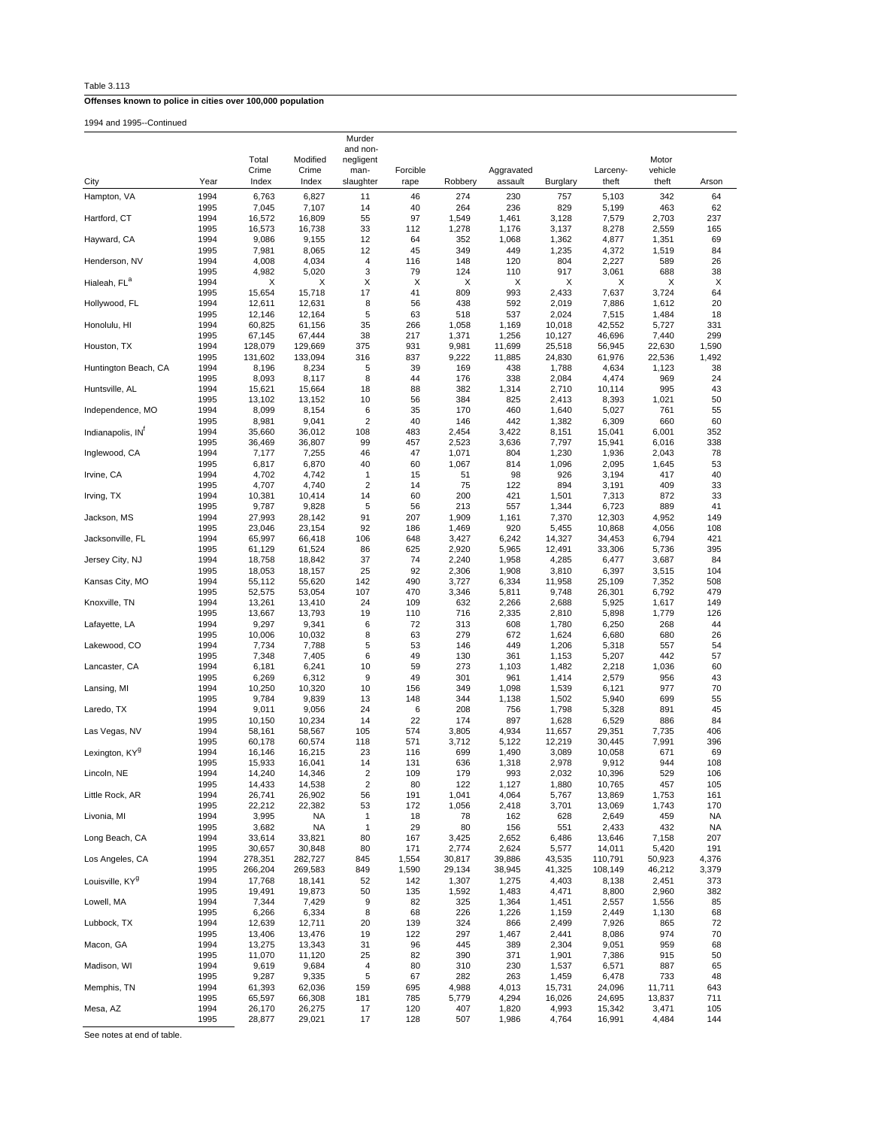Table 3.113

1994 and 1995--Continued

|                             |              |                   |                   | Murder                       |              |                 |                 |                 |                   |                 |              |
|-----------------------------|--------------|-------------------|-------------------|------------------------------|--------------|-----------------|-----------------|-----------------|-------------------|-----------------|--------------|
|                             |              | Total             | Modified          | and non-<br>negligent        |              |                 |                 |                 |                   | Motor           |              |
|                             |              | Crime             | Crime             | man-                         | Forcible     |                 | Aggravated      |                 | Larceny-          | vehicle         |              |
| City                        | Year         | Index             | Index             | slaughter                    | rape         | Robbery         | assault         | Burglary        | theft             | theft           | Arson        |
| Hampton, VA                 | 1994         | 6,763             | 6,827             | 11                           | 46           | 274             | 230             | 757             | 5,103             | 342             | 64           |
| Hartford, CT                | 1995<br>1994 | 7,045<br>16,572   | 7,107<br>16,809   | 14<br>55                     | 40<br>97     | 264<br>1,549    | 236<br>1,461    | 829<br>3,128    | 5,199<br>7,579    | 463<br>2,703    | 62<br>237    |
|                             | 1995         | 16,573            | 16,738            | 33                           | 112          | 1,278           | 1,176           | 3,137           | 8,278             | 2,559           | 165          |
| Hayward, CA                 | 1994         | 9,086             | 9,155             | 12                           | 64           | 352             | 1,068           | 1,362           | 4,877             | 1,351           | 69           |
|                             | 1995         | 7,981             | 8,065             | 12                           | 45           | 349             | 449             | 1,235           | 4,372             | 1,519           | 84           |
| Henderson, NV               | 1994<br>1995 | 4,008<br>4,982    | 4,034<br>5,020    | 4<br>3                       | 116<br>79    | 148<br>124      | 120<br>110      | 804<br>917      | 2,227<br>3,061    | 589<br>688      | 26<br>38     |
| Hialeah, FL <sup>a</sup>    | 1994         | Χ                 | х                 | х                            | X            | Х               | х               | х               | Χ                 | Χ               | X            |
|                             | 1995         | 15,654            | 15,718            | 17                           | 41           | 809             | 993             | 2,433           | 7,637             | 3,724           | 64           |
| Hollywood, FL               | 1994         | 12,611            | 12,631            | 8                            | 56           | 438             | 592             | 2,019           | 7,886             | 1,612           | 20           |
| Honolulu, HI                | 1995<br>1994 | 12,146<br>60,825  | 12,164<br>61,156  | 5<br>35                      | 63<br>266    | 518<br>1,058    | 537<br>1,169    | 2,024<br>10,018 | 7,515<br>42,552   | 1,484<br>5,727  | 18<br>331    |
|                             | 1995         | 67,145            | 67,444            | 38                           | 217          | 1,371           | 1,256           | 10,127          | 46,696            | 7,440           | 299          |
| Houston, TX                 | 1994         | 128,079           | 129,669           | 375                          | 931          | 9,981           | 11,699          | 25,518          | 56,945            | 22,630          | 1,590        |
| Huntington Beach, CA        | 1995<br>1994 | 131,602<br>8,196  | 133,094<br>8,234  | 316<br>5                     | 837<br>39    | 9,222<br>169    | 11,885<br>438   | 24,830<br>1,788 | 61,976<br>4,634   | 22,536<br>1,123 | 1,492<br>38  |
|                             | 1995         | 8,093             | 8,117             | 8                            | 44           | 176             | 338             | 2,084           | 4,474             | 969             | 24           |
| Huntsville, AL              | 1994         | 15,621            | 15,664            | 18                           | 88           | 382             | 1,314           | 2,710           | 10,114            | 995             | 43           |
|                             | 1995         | 13,102            | 13,152            | 10                           | 56           | 384             | 825             | 2,413           | 8,393             | 1,021           | 50           |
| Independence, MO            | 1994<br>1995 | 8,099<br>8,981    | 8,154<br>9,041    | 6<br>$\overline{\mathbf{c}}$ | 35<br>40     | 170<br>146      | 460<br>442      | 1,640<br>1,382  | 5,027<br>6,309    | 761<br>660      | 55<br>60     |
| Indianapolis, IN            | 1994         | 35,660            | 36,012            | 108                          | 483          | 2,454           | 3,422           | 8,151           | 15,041            | 6,001           | 352          |
|                             | 1995         | 36,469            | 36,807            | 99                           | 457          | 2,523           | 3,636           | 7,797           | 15,941            | 6,016           | 338          |
| Inglewood, CA               | 1994         | 7,177             | 7,255             | 46                           | 47           | 1,071           | 804             | 1,230           | 1,936             | 2,043           | 78           |
| Irvine, CA                  | 1995<br>1994 | 6,817<br>4,702    | 6,870<br>4,742    | 40<br>1                      | 60<br>15     | 1,067<br>51     | 814<br>98       | 1,096<br>926    | 2,095<br>3,194    | 1,645<br>417    | 53<br>40     |
|                             | 1995         | 4,707             | 4,740             | $\overline{\mathbf{c}}$      | 14           | 75              | 122             | 894             | 3,191             | 409             | 33           |
| Irving, TX                  | 1994         | 10,381            | 10,414            | 14                           | 60           | 200             | 421             | 1,501           | 7,313             | 872             | 33           |
| Jackson, MS                 | 1995<br>1994 | 9,787<br>27,993   | 9,828<br>28,142   | 5<br>91                      | 56<br>207    | 213<br>1,909    | 557<br>1,161    | 1,344<br>7,370  | 6,723<br>12,303   | 889<br>4,952    | 41<br>149    |
|                             | 1995         | 23,046            | 23,154            | 92                           | 186          | 1,469           | 920             | 5,455           | 10,868            | 4,056           | 108          |
| Jacksonville, FL            | 1994         | 65,997            | 66,418            | 106                          | 648          | 3,427           | 6,242           | 14,327          | 34,453            | 6,794           | 421          |
| Jersey City, NJ             | 1995         | 61,129            | 61,524            | 86                           | 625          | 2,920           | 5,965           | 12,491          | 33,306            | 5,736           | 395          |
|                             | 1994<br>1995 | 18,758<br>18,053  | 18,842<br>18,157  | 37<br>25                     | 74<br>92     | 2,240<br>2,306  | 1,958<br>1,908  | 4,285<br>3,810  | 6,477<br>6,397    | 3,687<br>3,515  | 84<br>104    |
| Kansas City, MO             | 1994         | 55,112            | 55,620            | 142                          | 490          | 3,727           | 6,334           | 11,958          | 25,109            | 7,352           | 508          |
|                             | 1995         | 52,575            | 53,054            | 107                          | 470          | 3,346           | 5,811           | 9,748           | 26,301            | 6,792           | 479          |
| Knoxville, TN               | 1994<br>1995 | 13,261<br>13,667  | 13,410<br>13,793  | 24<br>19                     | 109<br>110   | 632<br>716      | 2,266<br>2,335  | 2,688<br>2,810  | 5,925<br>5,898    | 1,617<br>1,779  | 149<br>126   |
| Lafayette, LA               | 1994         | 9,297             | 9,341             | 6                            | 72           | 313             | 608             | 1,780           | 6,250             | 268             | 44           |
|                             | 1995         | 10,006            | 10,032            | 8                            | 63           | 279             | 672             | 1,624           | 6,680             | 680             | 26           |
| Lakewood, CO                | 1994         | 7,734             | 7,788             | 5                            | 53           | 146             | 449             | 1,206           | 5,318             | 557             | 54           |
| Lancaster, CA               | 1995<br>1994 | 7,348<br>6,181    | 7,405<br>6,241    | 6<br>10                      | 49<br>59     | 130<br>273      | 361<br>1,103    | 1,153<br>1,482  | 5,207<br>2,218    | 442<br>1,036    | 57<br>60     |
|                             | 1995         | 6,269             | 6,312             | 9                            | 49           | 301             | 961             | 1,414           | 2,579             | 956             | 43           |
| Lansing, MI                 | 1994         | 10,250            | 10,320            | 10                           | 156          | 349             | 1,098           | 1,539           | 6,121             | 977             | 70           |
| Laredo, TX                  | 1995<br>1994 | 9,784<br>9,011    | 9,839<br>9,056    | 13<br>24                     | 148<br>6     | 344<br>208      | 1,138<br>756    | 1,502<br>1,798  | 5,940<br>5,328    | 699<br>891      | 55<br>45     |
|                             | 1995         | 10,150            | 10,234            | 14                           | 22           | 174             | 897             | 1,628           | 6,529             | 886             | 84           |
| Las Vegas, NV               | 1994         | 58,161            | 58,567            | 105                          | 574          | 3,805           | 4,934           | 11,657          | 29,351            | 7,735           | 406          |
|                             | 1995         | 60,178            | 60,574            | 118                          | 571          | 3,712           | 5,122           | 12,219          | 30,445            | 7,991           | 396          |
| Lexington, KY <sup>g</sup>  | 1994<br>1995 | 16,146<br>15,933  | 16,215<br>16,041  | 23<br>14                     | 116<br>131   | 699<br>636      | 1,490<br>1,318  | 3,089<br>2,978  | 10,058<br>9,912   | 671<br>944      | 69<br>108    |
| Lincoln, NE                 | 1994         | 14,240            | 14,346            | 2                            | 109          | 179             | 993             | 2,032           | 10,396            | 529             | 106          |
|                             | 1995         | 14,433            | 14,538            | $\overline{\mathbf{c}}$      | 80           | 122             | 1,127           | 1,880           | 10,765            | 457             | 105          |
| Little Rock, AR             | 1994         | 26,741<br>22,212  | 26,902<br>22,382  | 56<br>53                     | 191<br>172   | 1,041<br>1,056  | 4,064<br>2,418  | 5,767<br>3,701  | 13,869<br>13,069  | 1,753<br>1,743  | 161<br>170   |
| Livonia, MI                 | 1995<br>1994 | 3,995             | NA                | $\mathbf{1}$                 | 18           | 78              | 162             | 628             | 2,649             | 459             | NA           |
|                             | 1995         | 3,682             | <b>NA</b>         | $\mathbf{1}$                 | 29           | 80              | 156             | 551             | 2,433             | 432             | <b>NA</b>    |
| Long Beach, CA              | 1994         | 33,614            | 33,821            | 80                           | 167          | 3,425           | 2,652           | 6,486           | 13,646            | 7,158           | 207          |
| Los Angeles, CA             | 1995<br>1994 | 30,657<br>278,351 | 30,848<br>282,727 | 80<br>845                    | 171<br>1,554 | 2,774<br>30,817 | 2,624<br>39,886 | 5,577<br>43,535 | 14,011<br>110,791 | 5,420<br>50,923 | 191<br>4,376 |
|                             | 1995         | 266,204           | 269,583           | 849                          | 1,590        | 29,134          | 38,945          | 41,325          | 108,149           | 46,212          | 3,379        |
| Louisville, KY <sup>g</sup> | 1994         | 17,768            | 18,141            | 52                           | 142          | 1,307           | 1,275           | 4,403           | 8,138             | 2,451           | 373          |
|                             | 1995         | 19,491            | 19,873            | 50                           | 135          | 1,592           | 1,483           | 4,471           | 8,800             | 2,960           | 382          |
| Lowell, MA                  | 1994<br>1995 | 7,344<br>6,266    | 7,429<br>6,334    | 9<br>8                       | 82<br>68     | 325<br>226      | 1,364<br>1,226  | 1,451<br>1,159  | 2,557<br>2,449    | 1,556<br>1,130  | 85<br>68     |
| Lubbock, TX                 | 1994         | 12,639            | 12,711            | 20                           | 139          | 324             | 866             | 2,499           | 7,926             | 865             | 72           |
|                             | 1995         | 13,406            | 13,476            | 19                           | 122          | 297             | 1,467           | 2,441           | 8,086             | 974             | 70           |
| Macon, GA                   | 1994<br>1995 | 13,275<br>11,070  | 13,343<br>11,120  | 31<br>25                     | 96<br>82     | 445<br>390      | 389<br>371      | 2,304<br>1,901  | 9,051<br>7,386    | 959<br>915      | 68<br>50     |
| Madison, WI                 | 1994         | 9,619             | 9,684             | 4                            | 80           | 310             | 230             | 1,537           | 6,571             | 887             | 65           |
|                             | 1995         | 9,287             | 9,335             | 5                            | 67           | 282             | 263             | 1,459           | 6,478             | 733             | 48           |
| Memphis, TN                 | 1994         | 61,393            | 62,036            | 159                          | 695          | 4,988           | 4,013           | 15,731          | 24,096            | 11,711          | 643          |
| Mesa, AZ                    | 1995<br>1994 | 65,597<br>26,170  | 66,308<br>26,275  | 181<br>17                    | 785<br>120   | 5,779<br>407    | 4,294<br>1,820  | 16,026<br>4,993 | 24,695<br>15,342  | 13,837<br>3,471 | 711<br>105   |
|                             | 1995         | 28,877            | 29,021            | 17                           | 128          | 507             | 1,986           | 4,764           | 16,991            | 4,484           | 144          |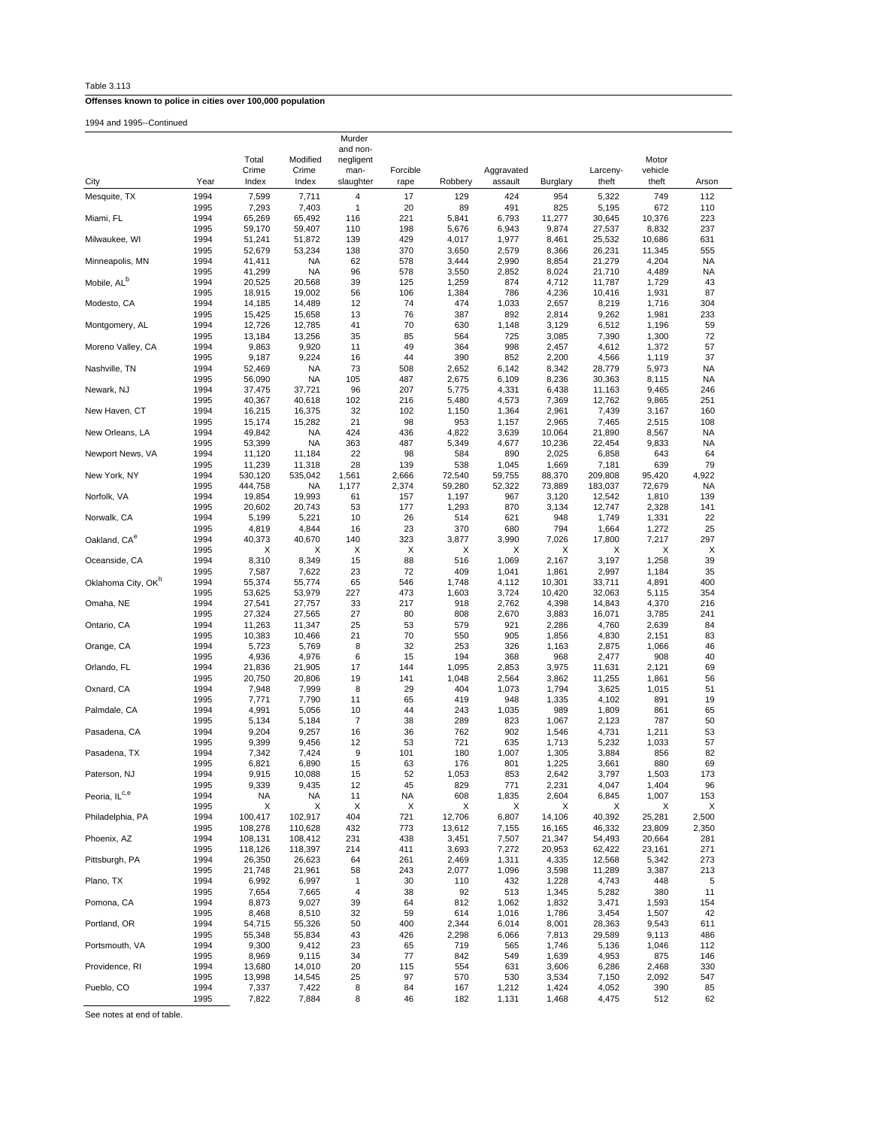| Table 3.113 |  |  |  |
|-------------|--|--|--|
|             |  |  |  |

1994 and 1995--Continued

|                                |              | Total             | Modified            | Murder<br>and non-<br>negligent |                  |                |                       |                  |                   | Motor            |            |
|--------------------------------|--------------|-------------------|---------------------|---------------------------------|------------------|----------------|-----------------------|------------------|-------------------|------------------|------------|
| City                           | Year         | Crime<br>Index    | Crime<br>Index      | man-<br>slaughter               | Forcible<br>rape | Robbery        | Aggravated<br>assault | Burglary         | Larceny-<br>theft | vehicle<br>theft | Arson      |
| Mesquite, TX                   | 1994         | 7,599             | 7,711               | 4                               | 17               | 129            | 424                   | 954              | 5,322             | 749              | 112        |
|                                | 1995         | 7,293             | 7,403               | 1                               | 20               | 89             | 491                   | 825              | 5,195             | 672              | 110        |
| Miami, FL                      | 1994         | 65,269            | 65,492              | 116                             | 221              | 5,841          | 6,793                 | 11,277           | 30,645            | 10,376           | 223        |
|                                | 1995         | 59,170            | 59,407              | 110                             | 198              | 5,676          | 6,943                 | 9,874            | 27,537            | 8,832            | 237        |
| Milwaukee, WI                  | 1994         | 51,241            | 51,872              | 139                             | 429              | 4,017          | 1,977                 | 8,461            | 25,532            | 10,686           | 631        |
|                                | 1995         | 52,679            | 53,234              | 138                             | 370              | 3,650          | 2,579                 | 8,366            | 26,231            | 11,345           | 555        |
| Minneapolis, MN                | 1994         | 41,411            | NA                  | 62                              | 578              | 3,444          | 2,990                 | 8,854            | 21,279            | 4,204            | <b>NA</b>  |
|                                | 1995         | 41,299            | <b>NA</b>           | 96                              | 578              | 3,550          | 2,852                 | 8,024            | 21,710            | 4,489            | NA         |
| Mobile, AL <sup>b</sup>        | 1994         | 20,525            | 20,568              | 39                              | 125              | 1,259          | 874                   | 4,712            | 11,787            | 1,729            | 43         |
|                                | 1995         | 18,915            | 19,002              | 56                              | 106              | 1,384          | 786                   | 4,236            | 10,416            | 1,931            | 87         |
| Modesto, CA                    | 1994<br>1995 | 14,185<br>15,425  | 14,489<br>15,658    | 12<br>13                        | 74<br>76         | 474<br>387     | 1,033<br>892          | 2,657<br>2,814   | 8,219<br>9,262    | 1,716<br>1,981   | 304<br>233 |
| Montgomery, AL                 | 1994         | 12,726            | 12,785              | 41                              | 70               | 630            | 1,148                 | 3,129            | 6,512             | 1,196            | 59         |
|                                | 1995         | 13,184            | 13,256              | 35                              | 85               | 564            | 725                   | 3,085            | 7,390             | 1,300            | 72         |
| Moreno Valley, CA              | 1994         | 9,863             | 9,920               | 11                              | 49               | 364            | 998                   | 2,457            | 4,612             | 1,372            | 57         |
|                                | 1995         | 9,187             | 9,224               | 16                              | 44               | 390            | 852                   | 2,200            | 4,566             | 1,119            | 37         |
| Nashville, TN                  | 1994         | 52,469            | <b>NA</b>           | 73                              | 508              | 2,652          | 6,142                 | 8,342            | 28,779            | 5,973            | <b>NA</b>  |
|                                | 1995         | 56,090            | <b>NA</b>           | 105                             | 487              | 2,675          | 6,109                 | 8,236            | 30,363            | 8,115            | <b>NA</b>  |
| Newark, NJ                     | 1994         | 37,475            | 37,721              | 96                              | 207              | 5,775          | 4,331                 | 6,438            | 11,163            | 9,465            | 246        |
|                                | 1995         | 40,367            | 40,618              | 102                             | 216              | 5,480          | 4,573                 | 7,369            | 12,762            | 9,865            | 251        |
| New Haven, CT                  | 1994         | 16,215            | 16,375              | 32                              | 102              | 1,150          | 1,364                 | 2,961            | 7,439             | 3,167            | 160        |
|                                | 1995         | 15,174            | 15,282              | 21                              | 98               | 953            | 1,157                 | 2,965            | 7,465             | 2,515            | 108        |
| New Orleans, LA                | 1994         | 49,842            | <b>NA</b>           | 424                             | 436              | 4,822          | 3,639                 | 10,064           | 21,890            | 8,567            | <b>NA</b>  |
| Newport News, VA               | 1995<br>1994 | 53,399<br>11,120  | <b>NA</b><br>11,184 | 363<br>22                       | 487<br>98        | 5,349<br>584   | 4,677<br>890          | 10,236<br>2,025  | 22,454<br>6,858   | 9,833<br>643     | NA<br>64   |
|                                | 1995         | 11,239            | 11,318              | 28                              | 139              | 538            | 1,045                 | 1,669            | 7,181             | 639              | 79         |
| New York, NY                   | 1994         | 530,120           | 535,042             | 1,561                           | 2,666            | 72,540         | 59,755                | 88,370           | 209,808           | 95,420           | 4,922      |
|                                | 1995         | 444,758           | NA                  | 1,177                           | 2,374            | 59,280         | 52,322                | 73,889           | 183,037           | 72,679           | NA         |
| Norfolk, VA                    | 1994         | 19,854            | 19,993              | 61                              | 157              | 1,197          | 967                   | 3,120            | 12,542            | 1,810            | 139        |
|                                | 1995         | 20,602            | 20,743              | 53                              | 177              | 1,293          | 870                   | 3,134            | 12,747            | 2,328            | 141        |
| Norwalk, CA                    | 1994         | 5,199             | 5,221               | 10                              | 26               | 514            | 621                   | 948              | 1,749             | 1,331            | 22         |
|                                | 1995         | 4,819             | 4,844               | 16                              | 23               | 370            | 680                   | 794              | 1,664             | 1,272            | 25         |
| Oakland, CA <sup>e</sup>       | 1994         | 40,373            | 40,670              | 140                             | 323              | 3,877          | 3,990                 | 7,026            | 17,800            | 7,217            | 297        |
|                                | 1995         | х                 | х                   | X                               | X                | х              | X                     | Х                | Х                 | х                | X          |
| Oceanside, CA                  | 1994         | 8,310             | 8,349               | 15                              | 88               | 516            | 1,069                 | 2,167            | 3,197             | 1,258            | 39         |
|                                | 1995         | 7,587             | 7,622               | 23                              | 72               | 409            | 1,041                 | 1,861            | 2,997             | 1,184            | 35         |
| Oklahoma City, OK <sup>n</sup> | 1994<br>1995 | 55,374<br>53,625  | 55,774<br>53,979    | 65<br>227                       | 546<br>473       | 1,748<br>1,603 | 4,112<br>3,724        | 10,301<br>10,420 | 33,711<br>32,063  | 4,891<br>5,115   | 400<br>354 |
| Omaha, NE                      | 1994         | 27,541            | 27,757              | 33                              | 217              | 918            | 2,762                 | 4,398            | 14,843            | 4,370            | 216        |
|                                | 1995         | 27,324            | 27,565              | 27                              | 80               | 808            | 2,670                 | 3,883            | 16,071            | 3,785            | 241        |
| Ontario, CA                    | 1994         | 11,263            | 11,347              | 25                              | 53               | 579            | 921                   | 2,286            | 4,760             | 2,639            | 84         |
|                                | 1995         | 10,383            | 10,466              | 21                              | 70               | 550            | 905                   | 1,856            | 4,830             | 2,151            | 83         |
| Orange, CA                     | 1994         | 5,723             | 5,769               | 8                               | 32               | 253            | 326                   | 1,163            | 2,875             | 1,066            | 46         |
|                                | 1995         | 4,936             | 4,976               | 6                               | 15               | 194            | 368                   | 968              | 2,477             | 908              | 40         |
| Orlando, FL                    | 1994         | 21,836            | 21,905              | 17                              | 144              | 1,095          | 2,853                 | 3,975            | 11,631            | 2,121            | 69         |
|                                | 1995         | 20,750            | 20,806              | 19                              | 141              | 1,048          | 2,564                 | 3,862            | 11,255            | 1,861            | 56         |
| Oxnard, CA                     | 1994         | 7,948             | 7,999               | 8                               | 29               | 404            | 1,073                 | 1,794            | 3,625             | 1,015            | 51         |
|                                | 1995         | 7,771             | 7,790               | 11                              | 65               | 419            | 948                   | 1,335            | 4,102             | 891              | 19         |
| Palmdale, CA                   | 1994         | 4,991             | 5,056               | 10<br>$\overline{7}$            | 44               | 243<br>289     | 1,035<br>823          | 989              | 1,809             | 861              | 65         |
| Pasadena, CA                   | 1995<br>1994 | 5,134<br>9,204    | 5,184<br>9,257      | 16                              | 38<br>36         | 762            | 902                   | 1,067<br>1,546   | 2,123<br>4,731    | 787<br>1,211     | 50<br>53   |
|                                | 1995         | 9,399             | 9,456               | 12                              | 53               | 721            | 635                   | 1,713            | 5,232             | 1,033            | 57         |
| Pasadena, TX                   | 1994         | 7,342             | 7,424               | 9                               | 101              | 180            | 1,007                 | 1,305            | 3,884             | 856              | 82         |
|                                | 1995         | 6,821             | 6,890               | 15                              | 63               | 176            | 801                   | 1,225            | 3,661             | 880              | 69         |
| Paterson, NJ                   | 1994         | 9,915             | 10,088              | 15                              | 52               | 1,053          | 853                   | 2,642            | 3,797             | 1,503            | 173        |
|                                | 1995         | 9,339             | 9,435               | 12                              | 45               | 829            | 771                   | 2,231            | 4,047             | 1,404            | 96         |
| Peoria, ILC,e                  | 1994         | NA                | <b>NA</b>           | 11                              | <b>NA</b>        | 608            | 1,835                 | 2,604            | 6,845             | 1,007            | 153        |
|                                | 1995         | X                 | Χ                   | X                               | X                | Χ              | X                     | Χ                | х                 | Χ                | X          |
| Philadelphia, PA               | 1994         | 100,417           | 102,917             | 404                             | 721              | 12,706         | 6,807                 | 14,106           | 40,392            | 25,281           | 2,500      |
|                                | 1995         | 108,278           | 110,628             | 432                             | 773              | 13,612         | 7,155                 | 16,165           | 46,332            | 23,809           | 2,350      |
| Phoenix, AZ                    | 1994<br>1995 | 108,131           | 108,412             | 231<br>214                      | 438<br>411       | 3,451<br>3,693 | 7,507<br>7,272        | 21,347<br>20,953 | 54,493            | 20,664           | 281<br>271 |
| Pittsburgh, PA                 | 1994         | 118,126<br>26,350 | 118,397<br>26,623   | 64                              | 261              | 2,469          | 1,311                 | 4,335            | 62,422<br>12,568  | 23,161<br>5,342  | 273        |
|                                | 1995         | 21,748            | 21,961              | 58                              | 243              | 2,077          | 1,096                 | 3,598            | 11,289            | 3,387            | 213        |
| Plano, TX                      | 1994         | 6,992             | 6,997               | $\mathbf{1}$                    | 30               | 110            | 432                   | 1,228            | 4,743             | 448              | 5          |
|                                | 1995         | 7,654             | 7,665               | 4                               | 38               | 92             | 513                   | 1,345            | 5,282             | 380              | 11         |
| Pomona, CA                     | 1994         | 8,873             | 9,027               | 39                              | 64               | 812            | 1,062                 | 1,832            | 3,471             | 1,593            | 154        |
|                                | 1995         | 8,468             | 8,510               | 32                              | 59               | 614            | 1,016                 | 1,786            | 3,454             | 1,507            | 42         |
| Portland, OR                   | 1994         | 54,715            | 55,326              | 50                              | 400              | 2,344          | 6,014                 | 8,001            | 28,363            | 9,543            | 611        |
|                                | 1995         | 55,348            | 55,834              | 43                              | 426              | 2,298          | 6,066                 | 7,813            | 29,589            | 9,113            | 486        |
| Portsmouth, VA                 | 1994         | 9,300             | 9,412               | 23                              | 65               | 719            | 565                   | 1,746            | 5,136             | 1,046            | 112        |
|                                | 1995         | 8,969             | 9,115               | 34                              | 77               | 842            | 549                   | 1,639            | 4,953             | 875              | 146        |
| Providence, RI                 | 1994         | 13,680            | 14,010              | 20                              | 115              | 554            | 631                   | 3,606            | 6,286             | 2,468            | 330        |
| Pueblo, CO                     | 1995         | 13,998            | 14,545              | 25                              | 97<br>84         | 570            | 530                   | 3,534            | 7,150             | 2,092            | 547        |
|                                | 1994<br>1995 | 7,337<br>7,822    | 7,422<br>7,884      | 8<br>8                          | 46               | 167<br>182     | 1,212<br>1,131        | 1,424<br>1,468   | 4,052<br>4,475    | 390<br>512       | 85<br>62   |
|                                |              |                   |                     |                                 |                  |                |                       |                  |                   |                  |            |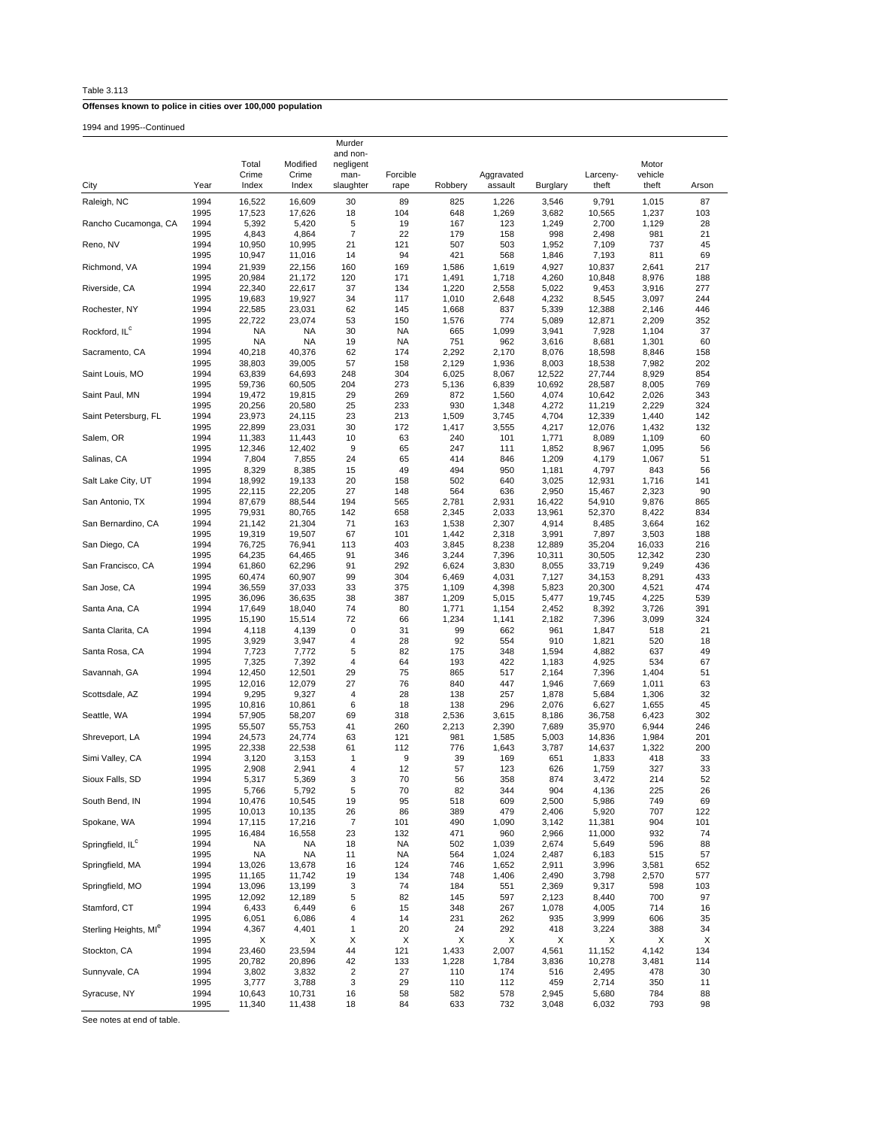| Table 3.113 |  |  |
|-------------|--|--|
|-------------|--|--|

1994 and 1995--Continued

|                                   |              | Total<br>Crime      | Modified<br>Crime | Murder<br>and non-<br>negligent<br>man- | Forcible   |                | Aggravated     |                 | Larceny-         | Motor<br>vehicle |            |
|-----------------------------------|--------------|---------------------|-------------------|-----------------------------------------|------------|----------------|----------------|-----------------|------------------|------------------|------------|
| City                              | Year         | Index               | Index             | slaughter                               | rape       | Robbery        | assault        | Burglary        | theft            | theft            | Arson      |
| Raleigh, NC                       | 1994         | 16,522              | 16,609            | 30                                      | 89         | 825            | 1,226          | 3,546           | 9,791            | 1,015            | 87         |
|                                   | 1995         | 17,523              | 17,626            | 18                                      | 104        | 648            | 1,269          | 3,682           | 10,565           | 1,237            | 103        |
| Rancho Cucamonga, CA              | 1994         | 5,392               | 5,420             | 5<br>7                                  | 19         | 167            | 123            | 1,249           | 2,700            | 1,129            | 28         |
| Reno, NV                          | 1995<br>1994 | 4,843<br>10,950     | 4,864<br>10,995   | 21                                      | 22<br>121  | 179<br>507     | 158<br>503     | 998<br>1,952    | 2,498<br>7,109   | 981<br>737       | 21<br>45   |
|                                   | 1995         | 10,947              | 11,016            | 14                                      | 94         | 421            | 568            | 1,846           | 7,193            | 811              | 69         |
| Richmond, VA                      | 1994         | 21,939              | 22,156            | 160                                     | 169        | 1,586          | 1,619          | 4,927           | 10,837           | 2,641            | 217        |
|                                   | 1995         | 20,984              | 21,172            | 120                                     | 171        | 1,491          | 1,718          | 4,260           | 10,848           | 8,976            | 188        |
| Riverside, CA                     | 1994         | 22,340              | 22,617            | 37                                      | 134        | 1,220          | 2,558          | 5,022           | 9,453            | 3,916            | 277        |
|                                   | 1995         | 19,683              | 19,927            | 34                                      | 117        | 1,010          | 2,648          | 4,232           | 8,545            | 3,097            | 244        |
| Rochester, NY                     | 1994         | 22,585              | 23,031            | 62                                      | 145        | 1,668          | 837            | 5,339           | 12,388           | 2,146            | 446        |
| Rockford, IL <sup>c</sup>         | 1995<br>1994 | 22,722<br><b>NA</b> | 23,074<br>NA      | 53<br>30                                | 150<br>NA  | 1,576<br>665   | 774<br>1,099   | 5,089<br>3,941  | 12,871           | 2,209<br>1,104   | 352<br>37  |
|                                   | 1995         | <b>NA</b>           | <b>NA</b>         | 19                                      | <b>NA</b>  | 751            | 962            | 3,616           | 7,928<br>8,681   | 1,301            | 60         |
| Sacramento, CA                    | 1994         | 40,218              | 40,376            | 62                                      | 174        | 2,292          | 2,170          | 8,076           | 18,598           | 8,846            | 158        |
|                                   | 1995         | 38,803              | 39,005            | 57                                      | 158        | 2,129          | 1,936          | 8,003           | 18,538           | 7,982            | 202        |
| Saint Louis, MO                   | 1994         | 63,839              | 64,693            | 248                                     | 304        | 6,025          | 8,067          | 12,522          | 27,744           | 8,929            | 854        |
|                                   | 1995         | 59,736              | 60,505            | 204                                     | 273        | 5,136          | 6,839          | 10,692          | 28,587           | 8,005            | 769        |
| Saint Paul, MN                    | 1994         | 19,472              | 19,815            | 29                                      | 269        | 872            | 1,560          | 4,074           | 10,642           | 2,026            | 343        |
|                                   | 1995         | 20,256              | 20,580            | 25                                      | 233        | 930            | 1,348          | 4,272           | 11,219           | 2,229            | 324        |
| Saint Petersburg, FL              | 1994<br>1995 | 23,973<br>22,899    | 24,115<br>23,031  | 23<br>30                                | 213<br>172 | 1,509<br>1,417 | 3,745<br>3,555 | 4,704<br>4,217  | 12,339<br>12,076 | 1,440<br>1,432   | 142<br>132 |
| Salem, OR                         | 1994         | 11,383              | 11,443            | 10                                      | 63         | 240            | 101            | 1,771           | 8,089            | 1,109            | 60         |
|                                   | 1995         | 12,346              | 12,402            | 9                                       | 65         | 247            | 111            | 1,852           | 8,967            | 1,095            | 56         |
| Salinas, CA                       | 1994         | 7,804               | 7,855             | 24                                      | 65         | 414            | 846            | 1,209           | 4,179            | 1,067            | 51         |
|                                   | 1995         | 8,329               | 8,385             | 15                                      | 49         | 494            | 950            | 1,181           | 4,797            | 843              | 56         |
| Salt Lake City, UT                | 1994         | 18,992              | 19,133            | 20                                      | 158        | 502            | 640            | 3,025           | 12,931           | 1,716            | 141        |
|                                   | 1995         | 22,115              | 22,205            | 27                                      | 148        | 564            | 636            | 2,950           | 15,467           | 2,323            | 90         |
| San Antonio, TX                   | 1994         | 87,679              | 88,544            | 194                                     | 565        | 2,781          | 2,931          | 16,422          | 54,910           | 9,876            | 865        |
| San Bernardino, CA                | 1995<br>1994 | 79,931<br>21,142    | 80,765<br>21,304  | 142<br>71                               | 658<br>163 | 2,345<br>1,538 | 2,033<br>2,307 | 13,961<br>4,914 | 52,370<br>8,485  | 8,422<br>3,664   | 834<br>162 |
|                                   | 1995         | 19,319              | 19,507            | 67                                      | 101        | 1,442          | 2,318          | 3,991           | 7,897            | 3,503            | 188        |
| San Diego, CA                     | 1994         | 76,725              | 76,941            | 113                                     | 403        | 3,845          | 8,238          | 12,889          | 35,204           | 16,033           | 216        |
|                                   | 1995         | 64,235              | 64,465            | 91                                      | 346        | 3,244          | 7,396          | 10,311          | 30,505           | 12,342           | 230        |
| San Francisco, CA                 | 1994         | 61,860              | 62,296            | 91                                      | 292        | 6,624          | 3,830          | 8,055           | 33,719           | 9,249            | 436        |
|                                   | 1995         | 60,474              | 60,907            | 99                                      | 304        | 6,469          | 4,031          | 7,127           | 34,153           | 8,291            | 433        |
| San Jose, CA<br>Santa Ana, CA     | 1994         | 36,559              | 37,033            | 33                                      | 375        | 1,109          | 4,398          | 5,823           | 20,300           | 4,521            | 474        |
|                                   | 1995<br>1994 | 36,096<br>17,649    | 36,635<br>18,040  | 38<br>74                                | 387<br>80  | 1,209<br>1,771 | 5,015<br>1,154 | 5,477<br>2,452  | 19,745<br>8,392  | 4,225<br>3,726   | 539<br>391 |
|                                   | 1995         | 15,190              | 15,514            | 72                                      | 66         | 1,234          | 1,141          | 2,182           | 7,396            | 3,099            | 324        |
| Santa Clarita, CA                 | 1994         | 4,118               | 4,139             | 0                                       | 31         | 99             | 662            | 961             | 1,847            | 518              | 21         |
|                                   | 1995         | 3,929               | 3,947             | 4                                       | 28         | 92             | 554            | 910             | 1,821            | 520              | 18         |
| Santa Rosa, CA                    | 1994         | 7,723               | 7,772             | 5                                       | 82         | 175            | 348            | 1,594           | 4,882            | 637              | 49         |
|                                   | 1995         | 7,325               | 7,392             | 4                                       | 64         | 193            | 422            | 1,183           | 4,925            | 534              | 67         |
| Savannah, GA                      | 1994         | 12,450              | 12,501            | 29                                      | 75         | 865            | 517            | 2,164           | 7,396            | 1,404            | 51         |
| Scottsdale, AZ                    | 1995<br>1994 | 12,016<br>9,295     | 12,079<br>9,327   | 27<br>4                                 | 76<br>28   | 840<br>138     | 447<br>257     | 1,946<br>1,878  | 7,669<br>5,684   | 1,011<br>1,306   | 63<br>32   |
|                                   | 1995         | 10,816              | 10,861            | 6                                       | 18         | 138            | 296            | 2,076           | 6,627            | 1,655            | 45         |
| Seattle, WA                       | 1994         | 57,905              | 58,207            | 69                                      | 318        | 2,536          | 3,615          | 8,186           | 36,758           | 6,423            | 302        |
|                                   | 1995         | 55,507              | 55,753            | 41                                      | 260        | 2,213          | 2,390          | 7,689           | 35,970           | 6,944            | 246        |
| Shreveport, LA                    | 1994         | 24,573              | 24,774            | 63                                      | 121        | 981            | 1,585          | 5,003           | 14,836           | 1,984            | 201        |
|                                   | 1995         | 22,338              | 22,538            | 61                                      | 112        | 776            | 1,643          | 3,787           | 14,637           | 1,322            | 200        |
| Simi Valley, CA                   | 1994         | 3,120               | 3,153             | $\mathbf{1}$                            | 9          | 39             | 169            | 651             | 1,833            | 418              | 33         |
| Sioux Falls, SD                   | 1995         | 2,908               | 2,941             | 4                                       | 12<br>70   | 57             | 123            | 626             | 1,759            | 327              | 33         |
|                                   | 1994<br>1995 | 5,317<br>5,766      | 5,369<br>5,792    | 3<br>5                                  | 70         | 56<br>82       | 358<br>344     | 874<br>904      | 3,472<br>4,136   | 214<br>225       | 52<br>26   |
| South Bend, IN                    | 1994         | 10,476              | 10,545            | 19                                      | 95         | 518            | 609            | 2,500           | 5,986            | 749              | 69         |
|                                   | 1995         | 10,013              | 10,135            | 26                                      | 86         | 389            | 479            | 2,406           | 5,920            | 707              | 122        |
| Spokane, WA                       | 1994         | 17,115              | 17,216            | $\boldsymbol{7}$                        | 101        | 490            | 1,090          | 3,142           | 11,381           | 904              | 101        |
|                                   | 1995         | 16,484              | 16,558            | 23                                      | 132        | 471            | 960            | 2,966           | 11,000           | 932              | 74         |
| Springfield, IL <sup>c</sup>      | 1994         | <b>NA</b>           | NA                | 18                                      | <b>NA</b>  | 502            | 1,039          | 2,674           | 5,649            | 596              | 88         |
|                                   | 1995         | <b>NA</b>           | <b>NA</b>         | 11                                      | <b>NA</b>  | 564            | 1,024          | 2,487           | 6,183            | 515              | 57         |
| Springfield, MA                   | 1994         | 13,026              | 13,678            | 16                                      | 124        | 746            | 1,652          | 2,911           | 3,996            | 3,581            | 652        |
| Springfield, MO                   | 1995<br>1994 | 11,165<br>13,096    | 11,742<br>13,199  | 19<br>3                                 | 134<br>74  | 748<br>184     | 1,406<br>551   | 2,490<br>2,369  | 3,798<br>9,317   | 2,570<br>598     | 577<br>103 |
|                                   | 1995         | 12,092              | 12,189            | 5                                       | 82         | 145            | 597            | 2,123           | 8,440            | 700              | 97         |
| Stamford, CT                      | 1994         | 6,433               | 6,449             | 6                                       | 15         | 348            | 267            | 1,078           | 4,005            | 714              | 16         |
|                                   | 1995         | 6,051               | 6,086             | 4                                       | 14         | 231            | 262            | 935             | 3,999            | 606              | 35         |
| Sterling Heights, MI <sup>e</sup> | 1994         | 4,367               | 4,401             | 1                                       | 20         | 24             | 292            | 418             | 3,224            | 388              | 34         |
|                                   | 1995         | х                   | х                 | X                                       | X          | Х              | Х              | х               | х                | X                | X          |
| Stockton, CA                      | 1994         | 23,460              | 23,594            | 44                                      | 121        | 1,433          | 2,007          | 4,561           | 11,152           | 4,142            | 134        |
| Sunnyvale, CA                     | 1995         | 20,782              | 20,896            | 42<br>$\overline{\mathbf{c}}$           | 133<br>27  | 1,228          | 1,784          | 3,836           | 10,278           | 3,481            | 114        |
|                                   | 1994<br>1995 | 3,802<br>3,777      | 3,832<br>3,788    | 3                                       | 29         | 110<br>110     | 174<br>112     | 516<br>459      | 2,495<br>2,714   | 478<br>350       | 30<br>11   |
| Syracuse, NY                      | 1994         | 10,643              | 10,731            | 16                                      | 58         | 582            | 578            | 2,945           | 5,680            | 784              | 88         |
|                                   | 1995         | 11,340              | 11,438            | 18                                      | 84         | 633            | 732            | 3,048           | 6,032            | 793              | 98         |